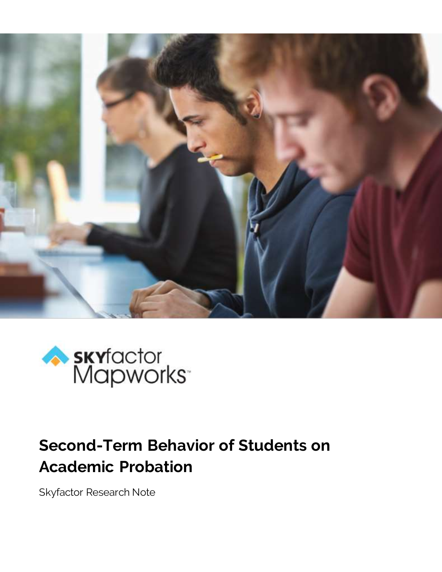



# **Second-Term Behavior of Students on Academic Probation**

Skyfactor Research Note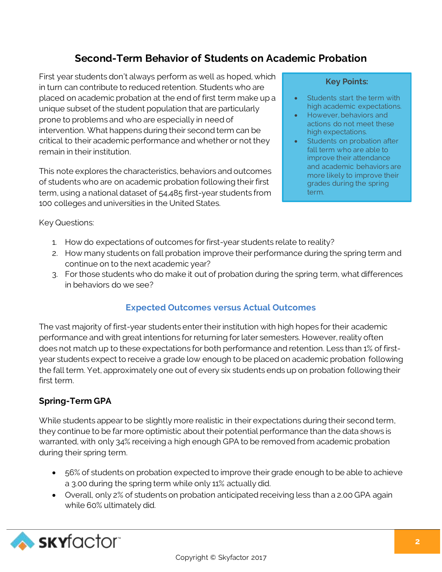# **Second-Term Behavior of Students on Academic Probation**

First year students don't always perform as well as hoped, which in turn can contribute to reduced retention. Students who are placed on academic probation at the end of first term make up a unique subset of the student population that are particularly prone to problems and who are especially in need of intervention. What happens during their second term can be critical to their academic performance and whether or not they remain in their institution.

This note explores the characteristics, behaviors and outcomes of students who are on academic probation following their first term, using a national dataset of 54,485 first-year students from 100 colleges and universities in the United States.

#### **Key Points:**

- Students start the term with high academic expectations.
- However, behaviors and actions do not meet these high expectations.
- Students on probation after fall term who are able to improve their attendance and academic behaviors are more likely to improve their grades during the spring term.

Key Questions:

- 1. How do expectations of outcomes for first-year students relate to reality?
- 2. How many students on fall probation improve their performance during the spring term and continue on to the next academic year?
- 3. For those students who do make it out of probation during the spring term, what differences in behaviors do we see?

# **Expected Outcomes versus Actual Outcomes**

The vast majority of first-year students enter their institution with high hopes for their academic performance and with great intentions for returning for later semesters. However, reality often does not match up to these expectations for both performance and retention. Less than 1% of firstyear students expect to receive a grade low enough to be placed on academic probation following the fall term. Yet, approximately one out of every six students ends up on probation following their first term.

# **Spring-Term GPA**

While students appear to be slightly more realistic in their expectations during their second term, they continue to be far more optimistic about their potential performance than the data shows is warranted, with only 34% receiving a high enough GPA to be removed from academic probation during their spring term.

- 56% of students on probation expected to improve their grade enough to be able to achieve a 3.00 during the spring term while only 11% actually did.
- Overall, only 2% of students on probation anticipated receiving less than a 2.00 GPA again while 60% ultimately did.

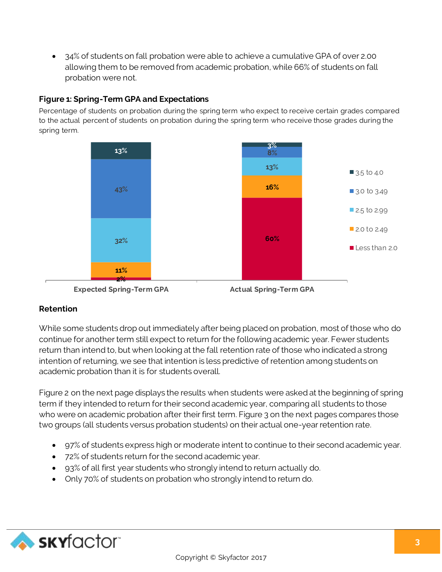34% of students on fall probation were able to achieve a cumulative GPA of over 2.00 allowing them to be removed from academic probation, while 66% of students on fall probation were not.

#### **Figure 1: Spring-Term GPA and Expectations**

Percentage of students on probation during the spring term who expect to receive certain grades compared to the actual percent of students on probation during the spring term who receive those grades during the spring term.





# **Retention**

While some students drop out immediately after being placed on probation, most of those who do continue for another term still expect to return for the following academic year. Fewer students return than intend to, but when looking at the fall retention rate of those who indicated a strong intention of returning, we see that intention is less predictive of retention among students on academic probation than it is for students overall.

Figure 2 on the next page displays the results when students were asked at the beginning of spring term if they intended to return for their second academic year, comparing all students to those who were on academic probation after their first term. Figure 3 on the next pages compares those two groups (all students versus probation students) on their actual one-year retention rate.

- 97% of students express high or moderate intent to continue to their second academic year.
- 72% of students return for the second academic year.
- 93% of all first year students who strongly intend to return actually do.
- Only 70% of students on probation who strongly intend to return do.

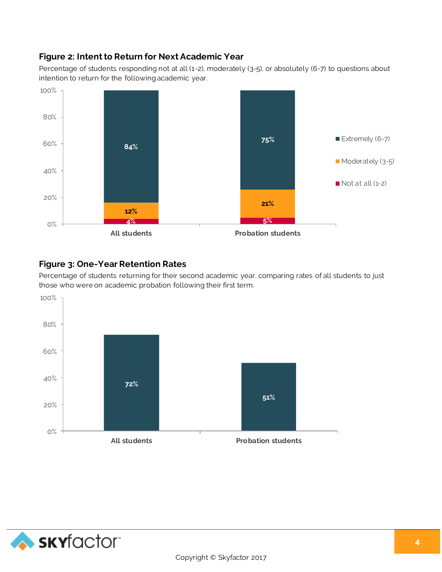# **Figure 2: Intent to Return for Next Academic Year**

Percentage of students responding not at all (1-2), moderately (3-5), or absolutely (6-7) to questions about intention to return for the following academic year.



#### **Figure 3: One-Year Retention Rates**

Percentage of students returning for their second academic year, comparing rates of all students to just those who were on academic probation following their first term.



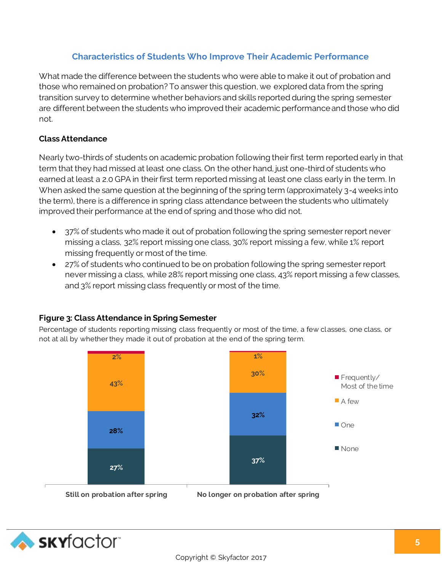## **Characteristics of Students Who Improve Their Academic Performance**

What made the difference between the students who were able to make it out of probation and those who remained on probation? To answer this question, we explored data from the spring transition survey to determine whether behaviors and skills reported during the spring semester are different between the students who improved their academic performance and those who did not.

#### **Class Attendance**

Nearly two-thirds of students on academic probation following their first term reported early in that term that they had missed at least one class. On the other hand, just one-third of students who earned at least a 2.0 GPA in their first term reported missing at least one class early in the term. In When asked the same question at the beginning of the spring term (approximately 3-4 weeks into the term), there is a difference in spring class attendance between the students who ultimately improved their performance at the end of spring and those who did not.

- 37% of students who made it out of probation following the spring semester report never missing a class, 32% report missing one class, 30% report missing a few, while 1% report missing frequently or most of the time.
- 27% of students who continued to be on probation following the spring semester report never missing a class, while 28% report missing one class, 43% report missing a few classes, and 3% report missing class frequently or most of the time.

#### **Figure 3: Class Attendance in Spring Semester**

Percentage of students reporting missing class frequently or most of the time, a few classes, one class, or not at all by whether they made it out of probation at the end of the spring term.



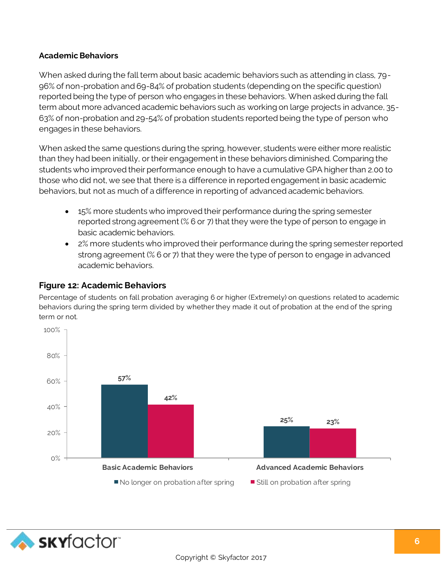#### **Academic Behaviors**

When asked during the fall term about basic academic behaviors such as attending in class, 79- 96% of non-probation and 69-84% of probation students (depending on the specific question) reported being the type of person who engages in these behaviors. When asked during the fall term about more advanced academic behaviors such as working on large projects in advance, 35- 63% of non-probation and 29-54% of probation students reported being the type of person who engages in these behaviors.

When asked the same questions during the spring, however, students were either more realistic than they had been initially, or their engagement in these behaviors diminished. Comparing the students who improved their performance enough to have a cumulative GPA higher than 2.00 to those who did not, we see that there is a difference in reported engagement in basic academic behaviors, but not as much of a difference in reporting of advanced academic behaviors.

- 15% more students who improved their performance during the spring semester reported strong agreement (% 6 or 7) that they were the type of person to engage in basic academic behaviors.
- 2% more students who improved their performance during the spring semester reported strong agreement (% 6 or 7) that they were the type of person to engage in advanced academic behaviors.

#### **Figure 12: Academic Behaviors**

Percentage of students on fall probation averaging 6 or higher (Extremely) on questions related to academic behaviors during the spring term divided by whether they made it out of probation at the end of the spring term or not.



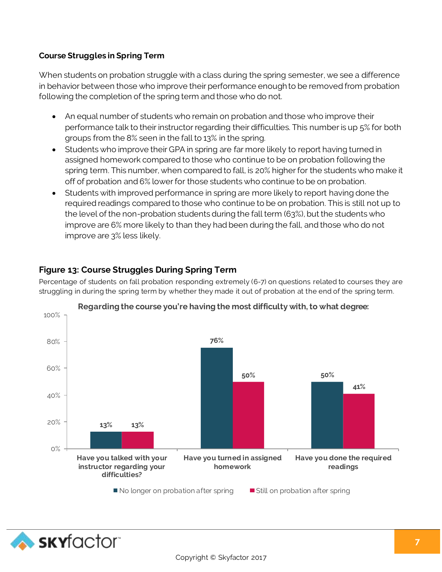#### **Course Struggles in Spring Term**

When students on probation struggle with a class during the spring semester, we see a difference in behavior between those who improve their performance enough to be removed from probation following the completion of the spring term and those who do not.

- An equal number of students who remain on probation and those who improve their performance talk to their instructor regarding their difficulties. This number is up 5% for both groups from the 8% seen in the fall to 13% in the spring.
- Students who improve their GPA in spring are far more likely to report having turned in assigned homework compared to those who continue to be on probation following the spring term. This number, when compared to fall, is 20% higher for the students who make it off of probation and 6% lower for those students who continue to be on probation.
- Students with improved performance in spring are more likely to report having done the required readings compared to those who continue to be on probation. This is still not up to the level of the non-probation students during the fall term (63%), but the students who improve are 6% more likely to than they had been during the fall, and those who do not improve are 3% less likely.

# **Figure 13: Course Struggles During Spring Term**

Percentage of students on fall probation responding extremely (6-7) on questions related to courses they are struggling in during the spring term by whether they made it out of probation at the end of the spring term.



**Regarding the course you're having the most difficulty with, to what degree:**

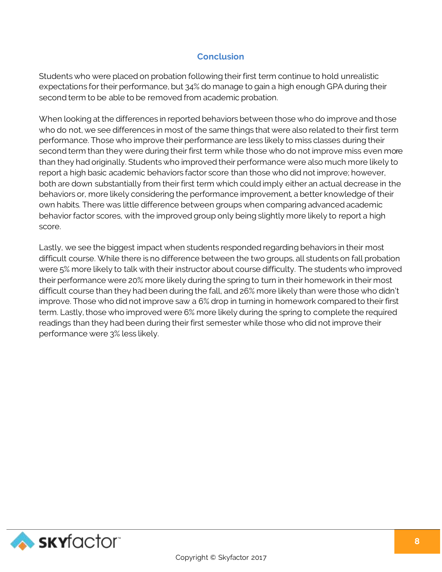### **Conclusion**

Students who were placed on probation following their first term continue to hold unrealistic expectations for their performance, but 34% do manage to gain a high enough GPA during their second term to be able to be removed from academic probation.

When looking at the differences in reported behaviors between those who do improve and those who do not, we see differences in most of the same things that were also related to their first term performance. Those who improve their performance are less likely to miss classes during their second term than they were during their first term while those who do not improve miss even more than they had originally. Students who improved their performance were also much more likely to report a high basic academic behaviors factor score than those who did not improve; however, both are down substantially from their first term which could imply either an actual decrease in the behaviors or, more likely considering the performance improvement, a better knowledge of their own habits. There was little difference between groups when comparing advanced academic behavior factor scores, with the improved group only being slightly more likely to report a high score.

Lastly, we see the biggest impact when students responded regarding behaviors in their most difficult course. While there is no difference between the two groups, all students on fall probation were 5% more likely to talk with their instructor about course difficulty. The students who improved their performance were 20% more likely during the spring to turn in their homework in their most difficult course than they had been during the fall, and 26% more likely than were those who didn't improve. Those who did not improve saw a 6% drop in turning in homework compared to their first term. Lastly, those who improved were 6% more likely during the spring to complete the required readings than they had been during their first semester while those who did not improve their performance were 3% less likely.

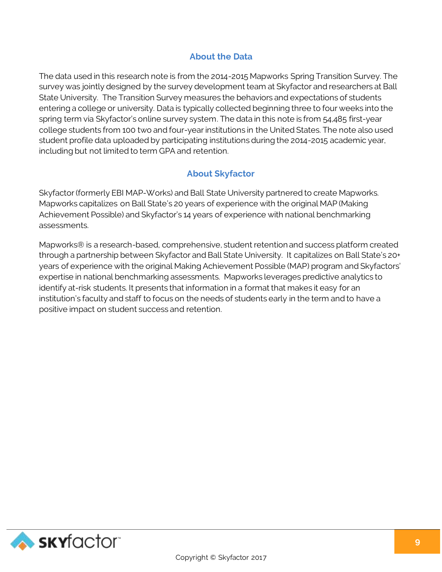# **About the Data**

The data used in this research note is from the 2014-2015 Mapworks Spring Transition Survey. The survey was jointly designed by the survey development team at Skyfactor and researchers at Ball State University. The Transition Survey measures the behaviors and expectations of students entering a college or university. Data is typically collected beginning three to four weeks into the spring term via Skyfactor's online survey system. The data in this note is from 54,485 first-year college students from 100 two and four-year institutions in the United States. The note also used student profile data uploaded by participating institutions during the 2014-2015 academic year, including but not limited to term GPA and retention.

# **About Skyfactor**

Skyfactor (formerly EBI MAP-Works) and Ball State University partnered to create Mapworks. Mapworks capitalizes on Ball State's 20 years of experience with the original MAP (Making Achievement Possible) and Skyfactor's 14 years of experience with national benchmarking assessments.

Mapworks® is a research-based, comprehensive, student retention and success platform created through a partnership between Skyfactor and Ball State University. It capitalizes on Ball State's 20+ years of experience with the original Making Achievement Possible (MAP) program and Skyfactors' expertise in national benchmarking assessments. Mapworks leverages predictive analytics to identify at-risk students. It presents that information in a format that makes it easy for an institution's faculty and staff to focus on the needs of students early in the term and to have a positive impact on student success and retention.